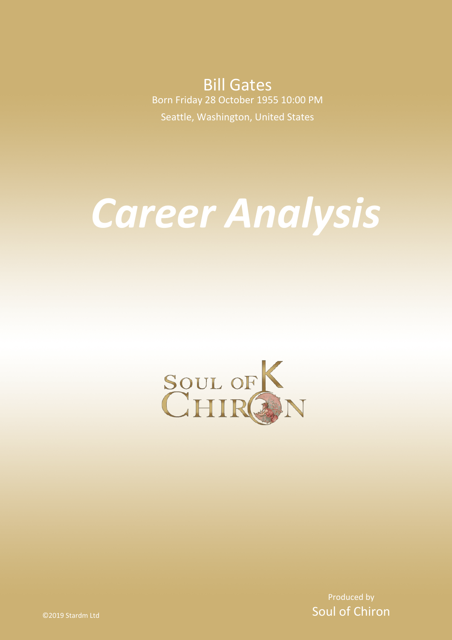**Bill Gates** Born Friday 28 October 1955 10:00 PM Seattle, Washington, United States

# *Career Analysis*



Produced by Soul of Chiron

©2019 Stardm Ltd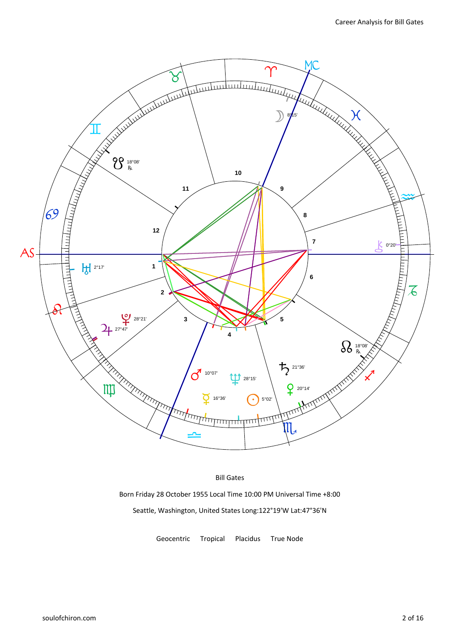

# Bill Gates

Born Friday 28 October 1955 Local Time 10:00 PM Universal Time +8:00 Seattle, Washington, United States Long:122°19'W Lat:47°36'N

Geocentric Tropical Placidus True Node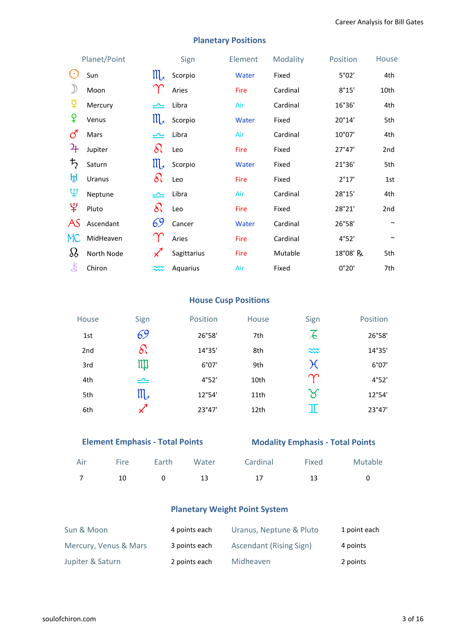|                        | Planet/Point |                       | Sign        | Element     | Modality | Position | House           |
|------------------------|--------------|-----------------------|-------------|-------------|----------|----------|-----------------|
| $\left( \cdot \right)$ | Sun          | $\prod_{\mathcal{A}}$ | Scorpio     | Water       | Fixed    | 5°02'    | 4th             |
|                        | Moon         |                       | Aries       | Fire        | Cardinal | 8°15'    | 10th            |
| ቖ្                     | Mercury      | بنائب                 | Libra       | Air         | Cardinal | 16°36'   | 4th             |
| ¥                      | Venus        | $\mathfrak{m}$        | Scorpio     | Water       | Fixed    | 20°14'   | 5th             |
| ්                      | Mars         | یمی                   | Libra       | Air         | Cardinal | 10°07'   | 4th             |
| 4                      | Jupiter      | $\delta\wr$           | Leo         | <b>Fire</b> | Fixed    | 27°47'   | 2 <sub>nd</sub> |
| ち                      | Saturn       | $\mathfrak{m}$        | Scorpio     | Water       | Fixed    | 21°36'   | 5th             |
| ਮ੍ਹਿ                   | Uranus       | $\delta\wr$           | Leo         | Fire        | Fixed    | 2°17'    | 1st             |
| Ψ                      | Neptune      | بلمب                  | Libra       | Air         | Cardinal | 28°15'   | 4th             |
| ೪                      | Pluto        | $\delta$              | Leo         | Fire        | Fixed    | 28°21'   | 2 <sub>nd</sub> |
| AS                     | Ascendant    | 69                    | Cancer      | Water       | Cardinal | 26°58'   | $\sim$          |
| MC                     | MidHeaven    |                       | Aries       | Fire        | Cardinal | 4°52'    | $\sim$          |
| $\Omega$               | North Node   | $\measuredangle$      | Sagittarius | <b>Fire</b> | Mutable  | 18°08' R | 5th             |
| 飞                      | Chiron       | $\widetilde{\sim}$    | Aquarius    | Air         | Fixed    | 0°20'    | 7th             |

# **Planetary Positions**

# **House Cusp Positions**

| <b>House</b>    | Sign          | Position | House | Sign                  | <b>Position</b> |
|-----------------|---------------|----------|-------|-----------------------|-----------------|
| 1st             | 69            | 26°58'   | 7th   | 石                     | 26°58'          |
| 2 <sub>nd</sub> | 81            | 14°35'   | 8th   | $\widetilde{\sim}$    | 14°35'          |
| 3rd             | Щ             | 6°07'    | 9th   | Х                     | 6°07'           |
| 4th             | ک             | 4°52'    | 10th  | $\infty$              | 4°52'           |
| 5th             | ${\rm III}_4$ | 12°54'   | 11th  | $\boldsymbol{\times}$ | 12°54'          |
| 6th             |               | 23°47'   | 12th  | π                     | 23°47'          |

|     |             | <b>Element Emphasis - Total Points</b> |       | <b>Modality Emphasis - Total Points</b> |       |         |  |  |  |
|-----|-------------|----------------------------------------|-------|-----------------------------------------|-------|---------|--|--|--|
| Air | <b>Fire</b> | Earth                                  | Water | Cardinal                                | Fixed | Mutable |  |  |  |
|     | 10          |                                        | 13    |                                         | 13    |         |  |  |  |

# **Planetary Weight Point System**

| Sun & Moon            | 4 points each | Uranus, Neptune & Pluto        | 1 point each |
|-----------------------|---------------|--------------------------------|--------------|
| Mercury, Venus & Mars | 3 points each | <b>Ascendant (Rising Sign)</b> | 4 points     |
| Jupiter & Saturn      | 2 points each | Midheaven                      | 2 points     |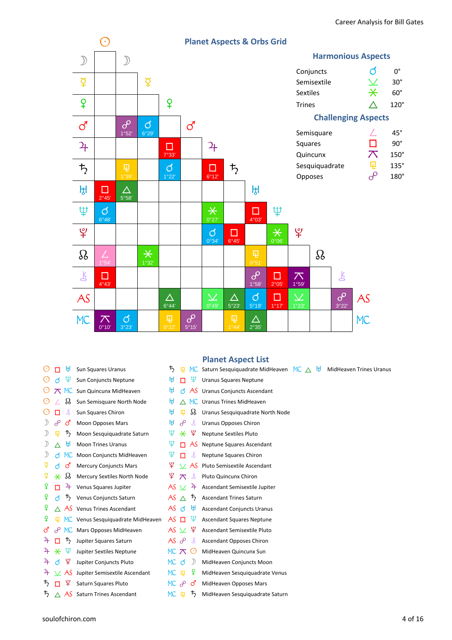

| э             | ਸ਼੍ਰਿ<br>П            | <b>Sun Squares Uranus</b>         | ち                       | 匝         |                | MC Saturn Sesquiquadrate MidHeaven |
|---------------|-----------------------|-----------------------------------|-------------------------|-----------|----------------|------------------------------------|
| 9             | Ψ<br>đ                | Sun Conjuncts Neptune             | ਸ਼੍ਰਮ                   | п         | Ψ              | <b>Uranus Squares Neptune</b>      |
| 0             | <b>MC</b>             | Sun Quincunx MidHeaven            | ŀţІ                     | đ         | AS             | Uranus Conjuncts Ascendant         |
| $(\cdot)$     | ₩                     | Sun Semisquare North Node         | Щ                       | Λ         | МC             | <b>Uranus Trines MidHeaven</b>     |
| $(\cdot)$     | 飞<br>п                | Sun Squares Chiron                | Щ                       | 量         | ℬ              | Uranus Sesquiquadrate North Node   |
|               | ර<br>$\theta$         | Moon Opposes Mars                 | ਸ਼੍ਰਮ                   | ൙         | Ľ              | <b>Uranus Opposes Chiron</b>       |
| )             | ち<br>曱                | Moon Sesquiquadrate Saturn        | Ψ                       | $\star$   | ¥              | <b>Neptune Sextiles Pluto</b>      |
| 》             | ਸ਼੍ਰਮ<br>Λ            | <b>Moon Trines Uranus</b>         | Ψ                       | п         | -AS            | Neptune Squares Ascendant          |
| $\mathcal{D}$ | MC.<br>đ              | Moon Conjuncts MidHeaven          | Ψ                       | п         | Š              | Neptune Squares Chiron             |
| ₽             | ර<br>đ                | <b>Mercury Conjuncts Mars</b>     | ¥                       |           | $\vee$ AS      | Pluto Semisextile Ascendant        |
| ₽             | δś<br>$\ast$          | Mercury Sextiles North Node       | ¥                       | ᄌ         | Ľ              | Pluto Quincunx Chiron              |
| ¥             | 4<br>п                | Venus Squares Jupiter             |                         | AS $\vee$ | $\mathfrak{p}$ | Ascendant Semisextile Jupiter      |
| ¥             | 丂<br>đ                | Venus Conjuncts Saturn            | AS $\land$              |           | 丂              | <b>Ascendant Trines Saturn</b>     |
| ¥             | AS                    | Venus Trines Ascendant            | AS d                    |           | ŀţІ            | <b>Ascendant Conjuncts Uranus</b>  |
| ¥             | 圓                     | MC Venus Sesquiquadrate MidHeaven | AS                      | $\Box$    | Ψ              | <b>Ascendant Squares Neptune</b>   |
| ර             | $\sigma^{\!\!\!\rho}$ | MC Mars Opposes MidHeaven         |                         | AS $\vee$ | ¥              | Ascendant Semisextile Pluto        |
| 4             | ђ                     | Jupiter Squares Saturn            | م AS                    |           | Š              | Ascendant Opposes Chiron           |
| 4             | Ψ<br>$\ast$           | Jupiter Sextiles Neptune          | MC $\pi$                |           | $(\cdot)$      | MidHeaven Quincunx Sun             |
| 24            | ¥<br>đ                | Jupiter Conjuncts Pluto           | MC .                    | đ         | )              | MidHeaven Conjuncts Moon           |
| 4             | $\times$ AS           | Jupiter Semisextile Ascendant     | MC.                     | 曱         | ¥              | MidHeaven Sesquiquadrate Venus     |
| 巧             | ¥                     | Saturn Squares Pluto              | $MC$ $\partial^{\circ}$ |           | ර              | MidHeaven Opposes Mars             |
| 芍             | AS<br>Λ               | Saturn Trines Ascendant           | MС                      | 匝         | 芍              | MidHeaven Sesquiquadrate Saturn    |

# **Planet Aspect List**

|             | $\bm{\tau}_{2}$ | 圓             |        | MC Saturn Sesquiquadrate MidHeaven MC $\triangle$ $\frac{11}{21}$ MidHeaven Trines Uranus |  |  |
|-------------|-----------------|---------------|--------|-------------------------------------------------------------------------------------------|--|--|
|             | Щ               | п.            | Ψ.     | <b>Uranus Squares Neptune</b>                                                             |  |  |
| en          | ŀţІ             |               |        | $\beta$ AS Uranus Conjuncts Ascendant                                                     |  |  |
| <b>Node</b> | ŀţІ             |               |        | ∧ MC Uranus Trines MidHeaven                                                              |  |  |
|             | Щ               | 圓             |        | § Uranus Sesquiquadrate North Node                                                        |  |  |
|             | Щ.              | $\mathcal{S}$ |        | Uranus Opposes Chiron                                                                     |  |  |
| iaturn      |                 |               |        | $\Psi \times \Psi$ Neptune Sextiles Pluto                                                 |  |  |
|             | Ψ               |               |        | $\Box$ AS Neptune Squares Ascendant                                                       |  |  |
| aven        | Ψ               | п             | Ľ      | <b>Neptune Squares Chiron</b>                                                             |  |  |
| Ś.          |                 |               |        | $\frac{10}{2}$ $\times$ AS Pluto Semisextile Ascendant                                    |  |  |
| Node        |                 |               |        | $\frac{9}{5}$ $\pi$ $\frac{8}{5}$ Pluto Quincunx Chiron                                   |  |  |
|             |                 |               |        | $AS \times 4$ Ascendant Semisextile Jupiter                                               |  |  |
|             |                 |               |        | AS $\triangle$ $\overline{5}$ Ascendant Trines Saturn                                     |  |  |
|             | AS d            |               |        | <b>H<sub>U</sub></b> Ascendant Conjuncts Uranus                                           |  |  |
| MidHeaven   |                 |               |        | $\overline{AS}$ $\Box$ $\overline{\Psi}$ Ascendant Squares Neptune                        |  |  |
| en/         |                 |               |        | $AS \vee \varphi$ Ascendant Semisextile Pluto                                             |  |  |
|             | AS P            |               |        | Ascendant Opposes Chiron                                                                  |  |  |
| 5           |                 |               |        | $MC \nabla \nabla$ MidHeaven Quincunx Sun                                                 |  |  |
|             | MC Q            |               |        | <b>I</b> MidHeaven Conjuncts Moon                                                         |  |  |
| ndant       | MC 中            |               |        | 4 MidHeaven Sesquiquadrate Venus                                                          |  |  |
|             |                 |               | MC P S | MidHeaven Opposes Mars                                                                    |  |  |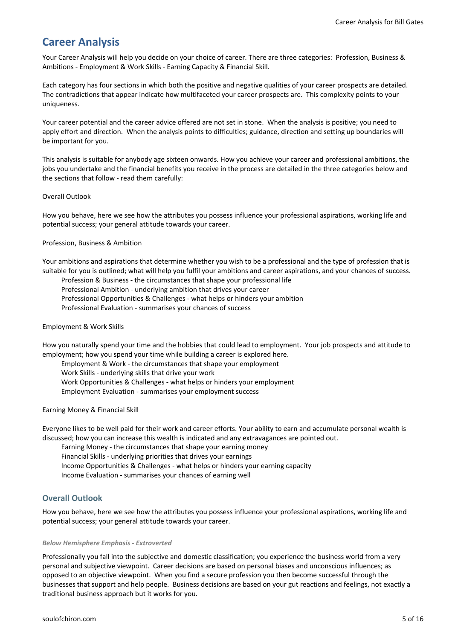# **Career Analysis**

Your Career Analysis will help you decide on your choice of career. There are three categories: Profession, Business & Ambitions - Employment & Work Skills - Earning Capacity & Financial Skill.

Each category has four sections in which both the positive and negative qualities of your career prospects are detailed. The contradictions that appear indicate how multifaceted your career prospects are. This complexity points to your uniqueness.

Your career potential and the career advice offered are not set in stone. When the analysis is positive; you need to apply effort and direction. When the analysis points to difficulties; guidance, direction and setting up boundaries will be important for you.

This analysis is suitable for anybody age sixteen onwards. How you achieve your career and professional ambitions, the jobs you undertake and the financial benefits you receive in the process are detailed in the three categories below and the sections that follow - read them carefully:

## Overall Outlook

How you behave, here we see how the attributes you possess influence your professional aspirations, working life and potential success; your general attitude towards your career.

## Profession, Business & Ambition

Your ambitions and aspirations that determine whether you wish to be a professional and the type of profession that is suitable for you is outlined; what will help you fulfil your ambitions and career aspirations, and your chances of success.

Profession & Business - the circumstances that shape your professional life

Professional Ambition - underlying ambition that drives your career

Professional Opportunities & Challenges - what helps or hinders your ambition

Professional Evaluation - summarises your chances of success

#### Employment & Work Skills

How you naturally spend your time and the hobbies that could lead to employment. Your job prospects and attitude to employment; how you spend your time while building a career is explored here.

Employment & Work - the circumstances that shape your employment

Work Skills - underlying skills that drive your work

Work Opportunities & Challenges - what helps or hinders your employment

Employment Evaluation - summarises your employment success

#### Earning Money & Financial Skill

Everyone likes to be well paid for their work and career efforts. Your ability to earn and accumulate personal wealth is discussed; how you can increase this wealth is indicated and any extravagances are pointed out.

 Earning Money - the circumstances that shape your earning money Financial Skills - underlying priorities that drives your earnings Income Opportunities & Challenges - what helps or hinders your earning capacity Income Evaluation - summarises your chances of earning well

# **Overall Outlook**

How you behave, here we see how the attributes you possess influence your professional aspirations, working life and potential success; your general attitude towards your career.

#### *Below Hemisphere Emphasis - Extroverted*

Professionally you fall into the subjective and domestic classification; you experience the business world from a very personal and subjective viewpoint. Career decisions are based on personal biases and unconscious influences; as opposed to an objective viewpoint. When you find a secure profession you then become successful through the businesses that support and help people. Business decisions are based on your gut reactions and feelings, not exactly a traditional business approach but it works for you.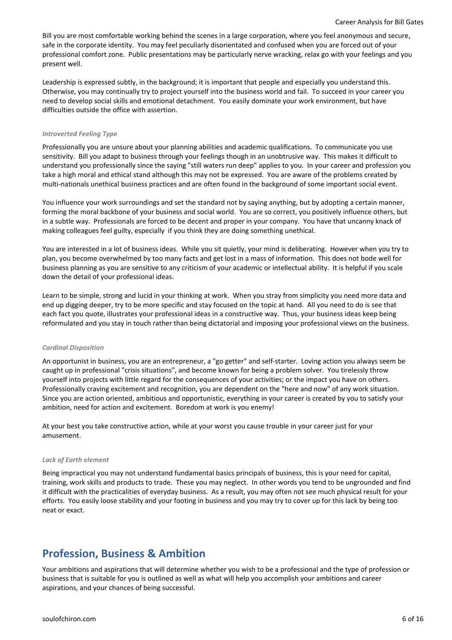Bill you are most comfortable working behind the scenes in a large corporation, where you feel anonymous and secure, safe in the corporate identity. You may feel peculiarly disorientated and confused when you are forced out of your professional comfort zone. Public presentations may be particularly nerve wracking, relax go with your feelings and you present well.

Leadership is expressed subtly, in the background; it is important that people and especially you understand this. Otherwise, you may continually try to project yourself into the business world and fail. To succeed in your career you need to develop social skills and emotional detachment. You easily dominate your work environment, but have difficulties outside the office with assertion.

#### *Introverted Feeling Type*

Professionally you are unsure about your planning abilities and academic qualifications. To communicate you use sensitivity. Bill you adapt to business through your feelings though in an unobtrusive way. This makes it difficult to understand you professionally since the saying "still waters run deep" applies to you. In your career and profession you take a high moral and ethical stand although this may not be expressed. You are aware of the problems created by multi-nationals unethical business practices and are often found in the background of some important social event.

You influence your work surroundings and set the standard not by saying anything, but by adopting a certain manner, forming the moral backbone of your business and social world. You are so correct, you positively influence others, but in a subtle way. Professionals are forced to be decent and proper in your company. You have that uncanny knack of making colleagues feel guilty, especially if you think they are doing something unethical.

You are interested in a lot of business ideas. While you sit quietly, your mind is deliberating. However when you try to plan, you become overwhelmed by too many facts and get lost in a mass of information. This does not bode well for business planning as you are sensitive to any criticism of your academic or intellectual ability. It is helpful if you scale down the detail of your professional ideas.

Learn to be simple, strong and lucid in your thinking at work. When you stray from simplicity you need more data and end up digging deeper, try to be more specific and stay focused on the topic at hand. All you need to do is see that each fact you quote, illustrates your professional ideas in a constructive way. Thus, your business ideas keep being reformulated and you stay in touch rather than being dictatorial and imposing your professional views on the business.

#### *Cardinal Disposition*

An opportunist in business, you are an entrepreneur, a "go getter" and self-starter. Loving action you always seem be caught up in professional "crisis situations", and become known for being a problem solver. You tirelessly throw yourself into projects with little regard for the consequences of your activities; or the impact you have on others. Professionally craving excitement and recognition, you are dependent on the "here and now" of any work situation. Since you are action oriented, ambitious and opportunistic, everything in your career is created by you to satisfy your ambition, need for action and excitement. Boredom at work is you enemy!

At your best you take constructive action, while at your worst you cause trouble in your career just for your amusement.

#### *Lack of Earth element*

Being impractical you may not understand fundamental basics principals of business, this is your need for capital, training, work skills and products to trade. These you may neglect. In other words you tend to be ungrounded and find it difficult with the practicalities of everyday business. As a result, you may often not see much physical result for your efforts. You easily loose stability and your footing in business and you may try to cover up for this lack by being too neat or exact.

# **Profession, Business & Ambition**

Your ambitions and aspirations that will determine whether you wish to be a professional and the type of profession or business that is suitable for you is outlined as well as what will help you accomplish your ambitions and career aspirations, and your chances of being successful.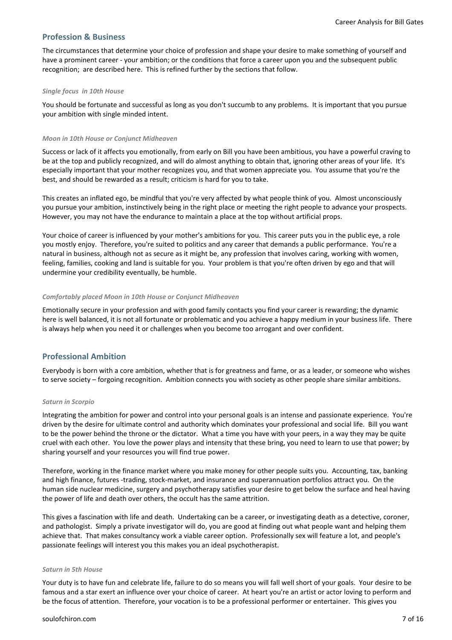# **Profession & Business**

The circumstances that determine your choice of profession and shape your desire to make something of yourself and have a prominent career - your ambition; or the conditions that force a career upon you and the subsequent public recognition; are described here. This is refined further by the sections that follow.

#### *Single focus in 10th House*

You should be fortunate and successful as long as you don't succumb to any problems. It is important that you pursue your ambition with single minded intent.

#### *Moon in 10th House or Conjunct Midheaven*

Success or lack of it affects you emotionally, from early on Bill you have been ambitious, you have a powerful craving to be at the top and publicly recognized, and will do almost anything to obtain that, ignoring other areas of your life. It's especially important that your mother recognizes you, and that women appreciate you. You assume that you're the best, and should be rewarded as a result; criticism is hard for you to take.

This creates an inflated ego, be mindful that you're very affected by what people think of you. Almost unconsciously you pursue your ambition, instinctively being in the right place or meeting the right people to advance your prospects. However, you may not have the endurance to maintain a place at the top without artificial props.

Your choice of career is influenced by your mother's ambitions for you. This career puts you in the public eye, a role you mostly enjoy. Therefore, you're suited to politics and any career that demands a public performance. You're a natural in business, although not as secure as it might be, any profession that involves caring, working with women, feeling, families, cooking and land is suitable for you. Your problem is that you're often driven by ego and that will undermine your credibility eventually, be humble.

#### *Comfortably placed Moon in 10th House or Conjunct Midheaven*

Emotionally secure in your profession and with good family contacts you find your career is rewarding; the dynamic here is well balanced, it is not all fortunate or problematic and you achieve a happy medium in your business life. There is always help when you need it or challenges when you become too arrogant and over confident.

# **Professional Ambition**

Everybody is born with a core ambition, whether that is for greatness and fame, or as a leader, or someone who wishes to serve society – forgoing recognition. Ambition connects you with society as other people share similar ambitions.

#### *Saturn in Scorpio*

Integrating the ambition for power and control into your personal goals is an intense and passionate experience. You're driven by the desire for ultimate control and authority which dominates your professional and social life. Bill you want to be the power behind the throne or the dictator. What a time you have with your peers, in a way they may be quite cruel with each other. You love the power plays and intensity that these bring, you need to learn to use that power; by sharing yourself and your resources you will find true power.

Therefore, working in the finance market where you make money for other people suits you. Accounting, tax, banking and high finance, futures -trading, stock-market, and insurance and superannuation portfolios attract you. On the human side nuclear medicine, surgery and psychotherapy satisfies your desire to get below the surface and heal having the power of life and death over others, the occult has the same attrition.

This gives a fascination with life and death. Undertaking can be a career, or investigating death as a detective, coroner, and pathologist. Simply a private investigator will do, you are good at finding out what people want and helping them achieve that. That makes consultancy work a viable career option. Professionally sex will feature a lot, and people's passionate feelings will interest you this makes you an ideal psychotherapist.

#### *Saturn in 5th House*

Your duty is to have fun and celebrate life, failure to do so means you will fall well short of your goals. Your desire to be famous and a star exert an influence over your choice of career. At heart you're an artist or actor loving to perform and be the focus of attention. Therefore, your vocation is to be a professional performer or entertainer. This gives you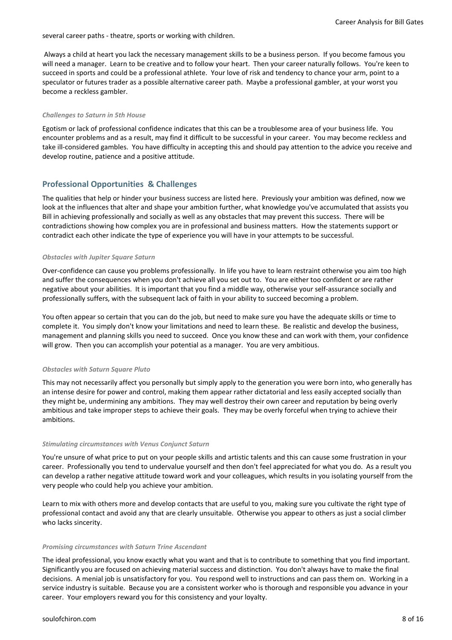several career paths - theatre, sports or working with children.

 Always a child at heart you lack the necessary management skills to be a business person. If you become famous you will need a manager. Learn to be creative and to follow your heart. Then your career naturally follows. You're keen to succeed in sports and could be a professional athlete. Your love of risk and tendency to chance your arm, point to a speculator or futures trader as a possible alternative career path. Maybe a professional gambler, at your worst you become a reckless gambler.

#### *Challenges to Saturn in 5th House*

Egotism or lack of professional confidence indicates that this can be a troublesome area of your business life. You encounter problems and as a result, may find it difficult to be successful in your career. You may become reckless and take ill-considered gambles. You have difficulty in accepting this and should pay attention to the advice you receive and develop routine, patience and a positive attitude.

# **Professional Opportunities & Challenges**

The qualities that help or hinder your business success are listed here. Previously your ambition was defined, now we look at the influences that alter and shape your ambition further, what knowledge you've accumulated that assists you Bill in achieving professionally and socially as well as any obstacles that may prevent this success. There will be contradictions showing how complex you are in professional and business matters. How the statements support or contradict each other indicate the type of experience you will have in your attempts to be successful.

#### *Obstacles with Jupiter Square Saturn*

Over-confidence can cause you problems professionally. In life you have to learn restraint otherwise you aim too high and suffer the consequences when you don't achieve all you set out to. You are either too confident or are rather negative about your abilities. It is important that you find a middle way, otherwise your self-assurance socially and professionally suffers, with the subsequent lack of faith in your ability to succeed becoming a problem.

You often appear so certain that you can do the job, but need to make sure you have the adequate skills or time to complete it. You simply don't know your limitations and need to learn these. Be realistic and develop the business, management and planning skills you need to succeed. Once you know these and can work with them, your confidence will grow. Then you can accomplish your potential as a manager. You are very ambitious.

#### *Obstacles with Saturn Square Pluto*

This may not necessarily affect you personally but simply apply to the generation you were born into, who generally has an intense desire for power and control, making them appear rather dictatorial and less easily accepted socially than they might be, undermining any ambitions. They may well destroy their own career and reputation by being overly ambitious and take improper steps to achieve their goals. They may be overly forceful when trying to achieve their ambitions.

#### *Stimulating circumstances with Venus Conjunct Saturn*

You're unsure of what price to put on your people skills and artistic talents and this can cause some frustration in your career. Professionally you tend to undervalue yourself and then don't feel appreciated for what you do. As a result you can develop a rather negative attitude toward work and your colleagues, which results in you isolating yourself from the very people who could help you achieve your ambition.

Learn to mix with others more and develop contacts that are useful to you, making sure you cultivate the right type of professional contact and avoid any that are clearly unsuitable. Otherwise you appear to others as just a social climber who lacks sincerity.

#### *Promising circumstances with Saturn Trine Ascendant*

The ideal professional, you know exactly what you want and that is to contribute to something that you find important. Significantly you are focused on achieving material success and distinction. You don't always have to make the final decisions. A menial job is unsatisfactory for you. You respond well to instructions and can pass them on. Working in a service industry is suitable. Because you are a consistent worker who is thorough and responsible you advance in your career. Your employers reward you for this consistency and your loyalty.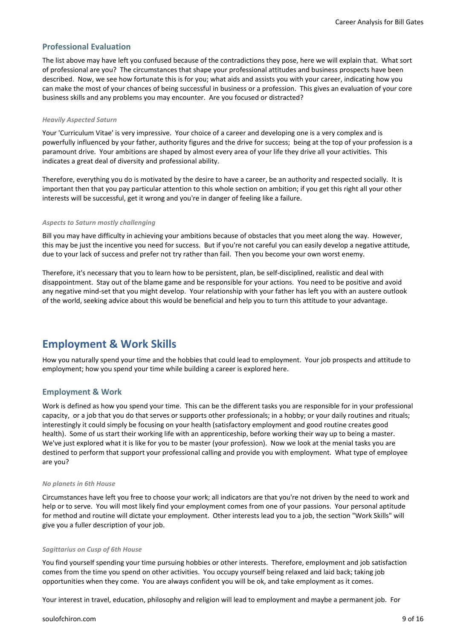# **Professional Evaluation**

The list above may have left you confused because of the contradictions they pose, here we will explain that. What sort of professional are you? The circumstances that shape your professional attitudes and business prospects have been described. Now, we see how fortunate this is for you; what aids and assists you with your career, indicating how you can make the most of your chances of being successful in business or a profession. This gives an evaluation of your core business skills and any problems you may encounter. Are you focused or distracted?

#### *Heavily Aspected Saturn*

Your 'Curriculum Vitae' is very impressive. Your choice of a career and developing one is a very complex and is powerfully influenced by your father, authority figures and the drive for success; being at the top of your profession is a paramount drive. Your ambitions are shaped by almost every area of your life they drive all your activities. This indicates a great deal of diversity and professional ability.

Therefore, everything you do is motivated by the desire to have a career, be an authority and respected socially. It is important then that you pay particular attention to this whole section on ambition; if you get this right all your other interests will be successful, get it wrong and you're in danger of feeling like a failure.

#### *Aspects to Saturn mostly challenging*

Bill you may have difficulty in achieving your ambitions because of obstacles that you meet along the way. However, this may be just the incentive you need for success. But if you're not careful you can easily develop a negative attitude, due to your lack of success and prefer not try rather than fail. Then you become your own worst enemy.

Therefore, it's necessary that you to learn how to be persistent, plan, be self-disciplined, realistic and deal with disappointment. Stay out of the blame game and be responsible for your actions. You need to be positive and avoid any negative mind-set that you might develop. Your relationship with your father has left you with an austere outlook of the world, seeking advice about this would be beneficial and help you to turn this attitude to your advantage.

# **Employment & Work Skills**

How you naturally spend your time and the hobbies that could lead to employment. Your job prospects and attitude to employment; how you spend your time while building a career is explored here.

# **Employment & Work**

Work is defined as how you spend your time. This can be the different tasks you are responsible for in your professional capacity, or a job that you do that serves or supports other professionals; in a hobby; or your daily routines and rituals; interestingly it could simply be focusing on your health (satisfactory employment and good routine creates good health). Some of us start their working life with an apprenticeship, before working their way up to being a master. We've just explored what it is like for you to be master (your profession). Now we look at the menial tasks you are destined to perform that support your professional calling and provide you with employment. What type of employee are you?

#### *No planets in 6th House*

Circumstances have left you free to choose your work; all indicators are that you're not driven by the need to work and help or to serve. You will most likely find your employment comes from one of your passions. Your personal aptitude for method and routine will dictate your employment. Other interests lead you to a job, the section "Work Skills" will give you a fuller description of your job.

#### *Sagittarius on Cusp of 6th House*

You find yourself spending your time pursuing hobbies or other interests. Therefore, employment and job satisfaction comes from the time you spend on other activities. You occupy yourself being relaxed and laid back; taking job opportunities when they come. You are always confident you will be ok, and take employment as it comes.

Your interest in travel, education, philosophy and religion will lead to employment and maybe a permanent job. For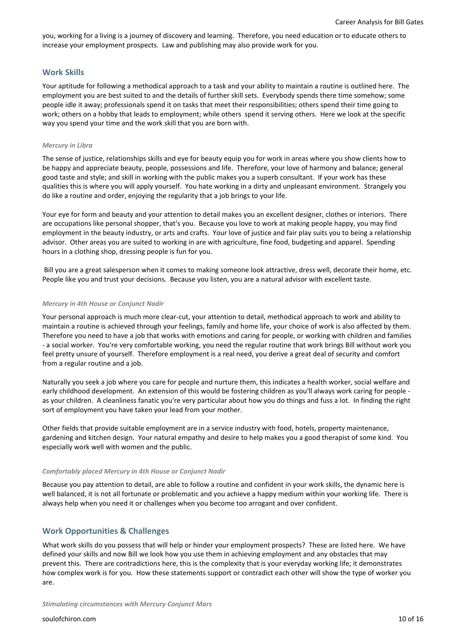you, working for a living is a journey of discovery and learning. Therefore, you need education or to educate others to increase your employment prospects. Law and publishing may also provide work for you.

# **Work Skills**

Your aptitude for following a methodical approach to a task and your ability to maintain a routine is outlined here. The employment you are best suited to and the details of further skill sets. Everybody spends there time somehow; some people idle it away; professionals spend it on tasks that meet their responsibilities; others spend their time going to work; others on a hobby that leads to employment; while others spend it serving others. Here we look at the specific way you spend your time and the work skill that you are born with.

#### *Mercury in Libra*

The sense of justice, relationships skills and eye for beauty equip you for work in areas where you show clients how to be happy and appreciate beauty, people, possessions and life. Therefore, your love of harmony and balance; general good taste and style; and skill in working with the public makes you a superb consultant. If your work has these qualities this is where you will apply yourself. You hate working in a dirty and unpleasant environment. Strangely you do like a routine and order, enjoying the regularity that a job brings to your life.

Your eye for form and beauty and your attention to detail makes you an excellent designer, clothes or interiors. There are occupations like personal shopper, that's you. Because you love to work at making people happy, you may find employment in the beauty industry, or arts and crafts. Your love of justice and fair play suits you to being a relationship advisor. Other areas you are suited to working in are with agriculture, fine food, budgeting and apparel. Spending hours in a clothing shop, dressing people is fun for you.

 Bill you are a great salesperson when it comes to making someone look attractive, dress well, decorate their home, etc. People like you and trust your decisions. Because you listen, you are a natural advisor with excellent taste.

#### *Mercury in 4th House or Conjunct Nadir*

Your personal approach is much more clear-cut, your attention to detail, methodical approach to work and ability to maintain a routine is achieved through your feelings, family and home life, your choice of work is also affected by them. Therefore you need to have a job that works with emotions and caring for people, or working with children and families - a social worker. You're very comfortable working, you need the regular routine that work brings Bill without work you feel pretty unsure of yourself. Therefore employment is a real need, you derive a great deal of security and comfort from a regular routine and a job.

Naturally you seek a job where you care for people and nurture them, this indicates a health worker, social welfare and early childhood development. An extension of this would be fostering children as you'll always work caring for people as your children. A cleanliness fanatic you're very particular about how you do things and fuss a lot. In finding the right sort of employment you have taken your lead from your mother.

Other fields that provide suitable employment are in a service industry with food, hotels, property maintenance, gardening and kitchen design. Your natural empathy and desire to help makes you a good therapist of some kind. You especially work well with women and the public.

#### *Comfortably placed Mercury in 4th House or Conjunct Nadir*

Because you pay attention to detail, are able to follow a routine and confident in your work skills, the dynamic here is well balanced, it is not all fortunate or problematic and you achieve a happy medium within your working life. There is always help when you need it or challenges when you become too arrogant and over confident.

# **Work Opportunities & Challenges**

What work skills do you possess that will help or hinder your employment prospects? These are listed here. We have defined your skills and now Bill we look how you use them in achieving employment and any obstacles that may prevent this. There are contradictions here, this is the complexity that is your everyday working life; it demonstrates how complex work is for you. How these statements support or contradict each other will show the type of worker you are.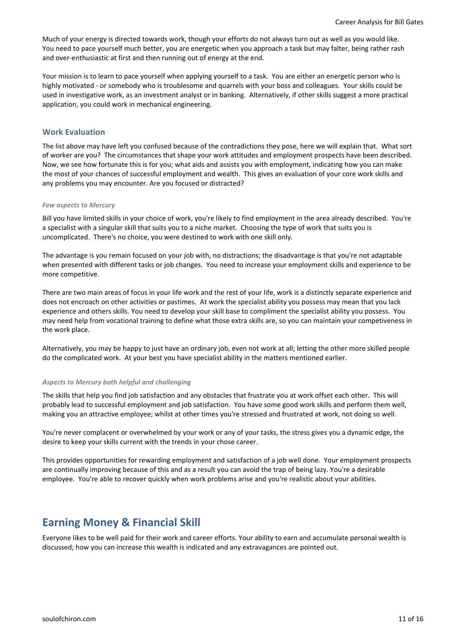Much of your energy is directed towards work, though your efforts do not always turn out as well as you would like. You need to pace yourself much better, you are energetic when you approach a task but may falter, being rather rash and over-enthusiastic at first and then running out of energy at the end.

Your mission is to learn to pace yourself when applying yourself to a task. You are either an energetic person who is highly motivated - or somebody who is troublesome and quarrels with your boss and colleagues. Your skills could be used in investigative work, as an investment analyst or in banking. Alternatively, if other skills suggest a more practical application, you could work in mechanical engineering.

# **Work Evaluation**

The list above may have left you confused because of the contradictions they pose, here we will explain that. What sort of worker are you? The circumstances that shape your work attitudes and employment prospects have been described. Now, we see how fortunate this is for you; what aids and assists you with employment, indicating how you can make the most of your chances of successful employment and wealth. This gives an evaluation of your core work skills and any problems you may encounter. Are you focused or distracted?

#### *Few aspects to Mercury*

Bill you have limited skills in your choice of work, you're likely to find employment in the area already described. You're a specialist with a singular skill that suits you to a niche market. Choosing the type of work that suits you is uncomplicated. There's no choice, you were destined to work with one skill only.

The advantage is you remain focused on your job with, no distractions; the disadvantage is that you're not adaptable when presented with different tasks or job changes. You need to increase your employment skills and experience to be more competitive.

There are two main areas of focus in your life work and the rest of your life, work is a distinctly separate experience and does not encroach on other activities or pastimes. At work the specialist ability you possess may mean that you lack experience and others skills. You need to develop your skill base to compliment the specialist ability you possess. You may need help from vocational training to define what those extra skills are, so you can maintain your competiveness in the work place.

Alternatively, you may be happy to just have an ordinary job, even not work at all; letting the other more skilled people do the complicated work. At your best you have specialist ability in the matters mentioned earlier.

#### *Aspects to Mercury both helpful and challenging*

The skills that help you find job satisfaction and any obstacles that frustrate you at work offset each other. This will probably lead to successful employment and job satisfaction. You have some good work skills and perform them well, making you an attractive employee; whilst at other times you're stressed and frustrated at work, not doing so well.

You're never complacent or overwhelmed by your work or any of your tasks, the stress gives you a dynamic edge, the desire to keep your skills current with the trends in your chose career.

This provides opportunities for rewarding employment and satisfaction of a job well done. Your employment prospects are continually improving because of this and as a result you can avoid the trap of being lazy. You're a desirable employee. You're able to recover quickly when work problems arise and you're realistic about your abilities.

# **Earning Money & Financial Skill**

Everyone likes to be well paid for their work and career efforts. Your ability to earn and accumulate personal wealth is discussed; how you can increase this wealth is indicated and any extravagances are pointed out.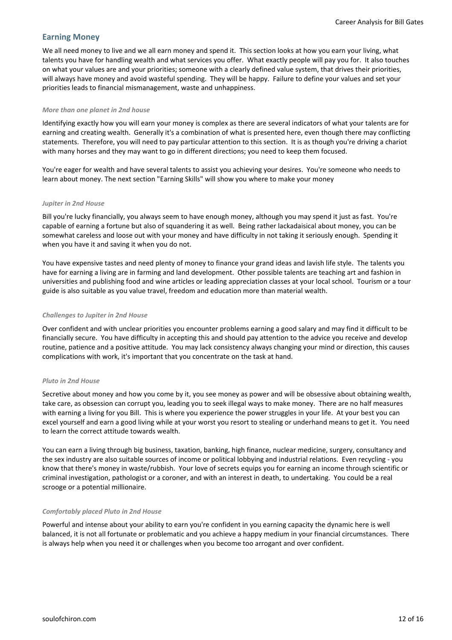# **Earning Money**

We all need money to live and we all earn money and spend it. This section looks at how you earn your living, what talents you have for handling wealth and what services you offer. What exactly people will pay you for. It also touches on what your values are and your priorities; someone with a clearly defined value system, that drives their priorities, will always have money and avoid wasteful spending. They will be happy. Failure to define your values and set your priorities leads to financial mismanagement, waste and unhappiness.

#### *More than one planet in 2nd house*

Identifying exactly how you will earn your money is complex as there are several indicators of what your talents are for earning and creating wealth. Generally it's a combination of what is presented here, even though there may conflicting statements. Therefore, you will need to pay particular attention to this section. It is as though you're driving a chariot with many horses and they may want to go in different directions; you need to keep them focused.

You're eager for wealth and have several talents to assist you achieving your desires. You're someone who needs to learn about money. The next section "Earning Skills" will show you where to make your money

# *Jupiter in 2nd House*

Bill you're lucky financially, you always seem to have enough money, although you may spend it just as fast. You're capable of earning a fortune but also of squandering it as well. Being rather lackadaisical about money, you can be somewhat careless and loose out with your money and have difficulty in not taking it seriously enough. Spending it when you have it and saving it when you do not.

You have expensive tastes and need plenty of money to finance your grand ideas and lavish life style. The talents you have for earning a living are in farming and land development. Other possible talents are teaching art and fashion in universities and publishing food and wine articles or leading appreciation classes at your local school. Tourism or a tour guide is also suitable as you value travel, freedom and education more than material wealth.

#### *Challenges to Jupiter in 2nd House*

Over confident and with unclear priorities you encounter problems earning a good salary and may find it difficult to be financially secure. You have difficulty in accepting this and should pay attention to the advice you receive and develop routine, patience and a positive attitude. You may lack consistency always changing your mind or direction, this causes complications with work, it's important that you concentrate on the task at hand.

#### *Pluto in 2nd House*

Secretive about money and how you come by it, you see money as power and will be obsessive about obtaining wealth, take care, as obsession can corrupt you, leading you to seek illegal ways to make money. There are no half measures with earning a living for you Bill. This is where you experience the power struggles in your life. At your best you can excel yourself and earn a good living while at your worst you resort to stealing or underhand means to get it. You need to learn the correct attitude towards wealth.

You can earn a living through big business, taxation, banking, high finance, nuclear medicine, surgery, consultancy and the sex industry are also suitable sources of income or political lobbying and industrial relations. Even recycling - you know that there's money in waste/rubbish. Your love of secrets equips you for earning an income through scientific or criminal investigation, pathologist or a coroner, and with an interest in death, to undertaking. You could be a real scrooge or a potential millionaire.

#### *Comfortably placed Pluto in 2nd House*

Powerful and intense about your ability to earn you're confident in you earning capacity the dynamic here is well balanced, it is not all fortunate or problematic and you achieve a happy medium in your financial circumstances. There is always help when you need it or challenges when you become too arrogant and over confident.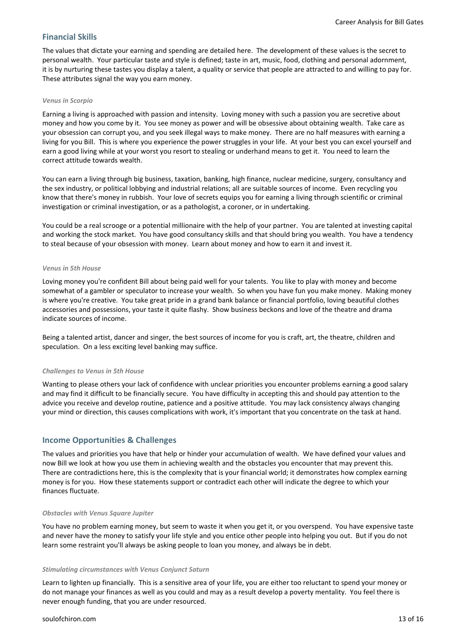# **Financial Skills**

The values that dictate your earning and spending are detailed here. The development of these values is the secret to personal wealth. Your particular taste and style is defined; taste in art, music, food, clothing and personal adornment, it is by nurturing these tastes you display a talent, a quality or service that people are attracted to and willing to pay for. These attributes signal the way you earn money.

#### *Venus in Scorpio*

Earning a living is approached with passion and intensity. Loving money with such a passion you are secretive about money and how you come by it. You see money as power and will be obsessive about obtaining wealth. Take care as your obsession can corrupt you, and you seek illegal ways to make money. There are no half measures with earning a living for you Bill. This is where you experience the power struggles in your life. At your best you can excel yourself and earn a good living while at your worst you resort to stealing or underhand means to get it. You need to learn the correct attitude towards wealth.

You can earn a living through big business, taxation, banking, high finance, nuclear medicine, surgery, consultancy and the sex industry, or political lobbying and industrial relations; all are suitable sources of income. Even recycling you know that there's money in rubbish. Your love of secrets equips you for earning a living through scientific or criminal investigation or criminal investigation, or as a pathologist, a coroner, or in undertaking.

You could be a real scrooge or a potential millionaire with the help of your partner. You are talented at investing capital and working the stock market. You have good consultancy skills and that should bring you wealth. You have a tendency to steal because of your obsession with money. Learn about money and how to earn it and invest it.

#### *Venus in 5th House*

Loving money you're confident Bill about being paid well for your talents. You like to play with money and become somewhat of a gambler or speculator to increase your wealth. So when you have fun you make money. Making money is where you're creative. You take great pride in a grand bank balance or financial portfolio, loving beautiful clothes accessories and possessions, your taste it quite flashy. Show business beckons and love of the theatre and drama indicate sources of income.

Being a talented artist, dancer and singer, the best sources of income for you is craft, art, the theatre, children and speculation. On a less exciting level banking may suffice.

#### *Challenges to Venus in 5th House*

Wanting to please others your lack of confidence with unclear priorities you encounter problems earning a good salary and may find it difficult to be financially secure. You have difficulty in accepting this and should pay attention to the advice you receive and develop routine, patience and a positive attitude. You may lack consistency always changing your mind or direction, this causes complications with work, it's important that you concentrate on the task at hand.

# **Income Opportunities & Challenges**

The values and priorities you have that help or hinder your accumulation of wealth. We have defined your values and now Bill we look at how you use them in achieving wealth and the obstacles you encounter that may prevent this. There are contradictions here, this is the complexity that is your financial world; it demonstrates how complex earning money is for you. How these statements support or contradict each other will indicate the degree to which your finances fluctuate.

#### *Obstacles with Venus Square Jupiter*

You have no problem earning money, but seem to waste it when you get it, or you overspend. You have expensive taste and never have the money to satisfy your life style and you entice other people into helping you out. But if you do not learn some restraint you'll always be asking people to loan you money, and always be in debt.

#### *Stimulating circumstances with Venus Conjunct Saturn*

Learn to lighten up financially. This is a sensitive area of your life, you are either too reluctant to spend your money or do not manage your finances as well as you could and may as a result develop a poverty mentality. You feel there is never enough funding, that you are under resourced.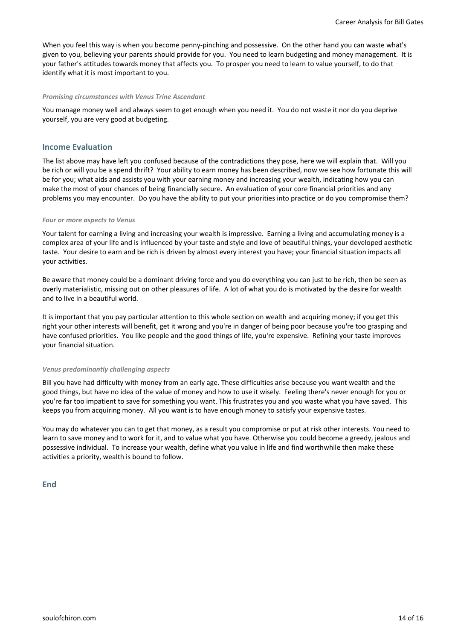When you feel this way is when you become penny-pinching and possessive. On the other hand you can waste what's given to you, believing your parents should provide for you. You need to learn budgeting and money management. It is your father's attitudes towards money that affects you. To prosper you need to learn to value yourself, to do that identify what it is most important to you.

#### *Promising circumstances with Venus Trine Ascendant*

You manage money well and always seem to get enough when you need it. You do not waste it nor do you deprive yourself, you are very good at budgeting.

#### **Income Evaluation**

The list above may have left you confused because of the contradictions they pose, here we will explain that. Will you be rich or will you be a spend thrift? Your ability to earn money has been described, now we see how fortunate this will be for you; what aids and assists you with your earning money and increasing your wealth, indicating how you can make the most of your chances of being financially secure. An evaluation of your core financial priorities and any problems you may encounter. Do you have the ability to put your priorities into practice or do you compromise them?

#### *Four or more aspects to Venus*

Your talent for earning a living and increasing your wealth is impressive. Earning a living and accumulating money is a complex area of your life and is influenced by your taste and style and love of beautiful things, your developed aesthetic taste. Your desire to earn and be rich is driven by almost every interest you have; your financial situation impacts all your activities.

Be aware that money could be a dominant driving force and you do everything you can just to be rich, then be seen as overly materialistic, missing out on other pleasures of life. A lot of what you do is motivated by the desire for wealth and to live in a beautiful world.

It is important that you pay particular attention to this whole section on wealth and acquiring money; if you get this right your other interests will benefit, get it wrong and you're in danger of being poor because you're too grasping and have confused priorities. You like people and the good things of life, you're expensive. Refining your taste improves your financial situation.

#### *Venus predominantly challenging aspects*

Bill you have had difficulty with money from an early age. These difficulties arise because you want wealth and the good things, but have no idea of the value of money and how to use it wisely. Feeling there's never enough for you or you're far too impatient to save for something you want. This frustrates you and you waste what you have saved. This keeps you from acquiring money. All you want is to have enough money to satisfy your expensive tastes.

You may do whatever you can to get that money, as a result you compromise or put at risk other interests. You need to learn to save money and to work for it, and to value what you have. Otherwise you could become a greedy, jealous and possessive individual. To increase your wealth, define what you value in life and find worthwhile then make these activities a priority, wealth is bound to follow.

**End**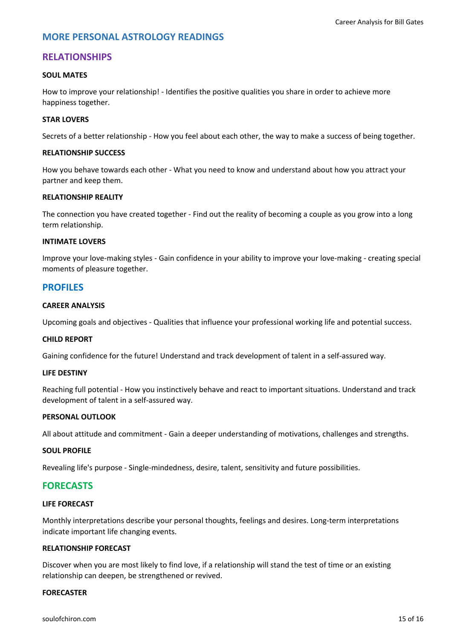# **MORE PERSONAL ASTROLOGY READINGS**

# **RELATIONSHIPS**

## **SOUL MATES**

How to improve your relationship! - Identifies the positive qualities you share in order to achieve more happiness together.

#### **STAR LOVERS**

Secrets of a better relationship - How you feel about each other, the way to make a success of being together.

## **RELATIONSHIP SUCCESS**

How you behave towards each other - What you need to know and understand about how you attract your partner and keep them.

## **RELATIONSHIP REALITY**

The connection you have created together - Find out the reality of becoming a couple as you grow into a long term relationship.

#### **INTIMATE LOVERS**

Improve your love-making styles - Gain confidence in your ability to improve your love-making - creating special moments of pleasure together.

# **PROFILES**

## **CAREER ANALYSIS**

Upcoming goals and objectives - Qualities that influence your professional working life and potential success.

#### **CHILD REPORT**

Gaining confidence for the future! Understand and track development of talent in a self-assured way.

#### **LIFE DESTINY**

Reaching full potential - How you instinctively behave and react to important situations. Understand and track development of talent in a self-assured way.

#### **PERSONAL OUTLOOK**

All about attitude and commitment - Gain a deeper understanding of motivations, challenges and strengths.

#### **SOUL PROFILE**

Revealing life's purpose - Single-mindedness, desire, talent, sensitivity and future possibilities.

# **FORECASTS**

# **LIFE FORECAST**

Monthly interpretations describe your personal thoughts, feelings and desires. Long-term interpretations indicate important life changing events.

#### **RELATIONSHIP FORECAST**

Discover when you are most likely to find love, if a relationship will stand the test of time or an existing relationship can deepen, be strengthened or revived.

#### **FORECASTER**